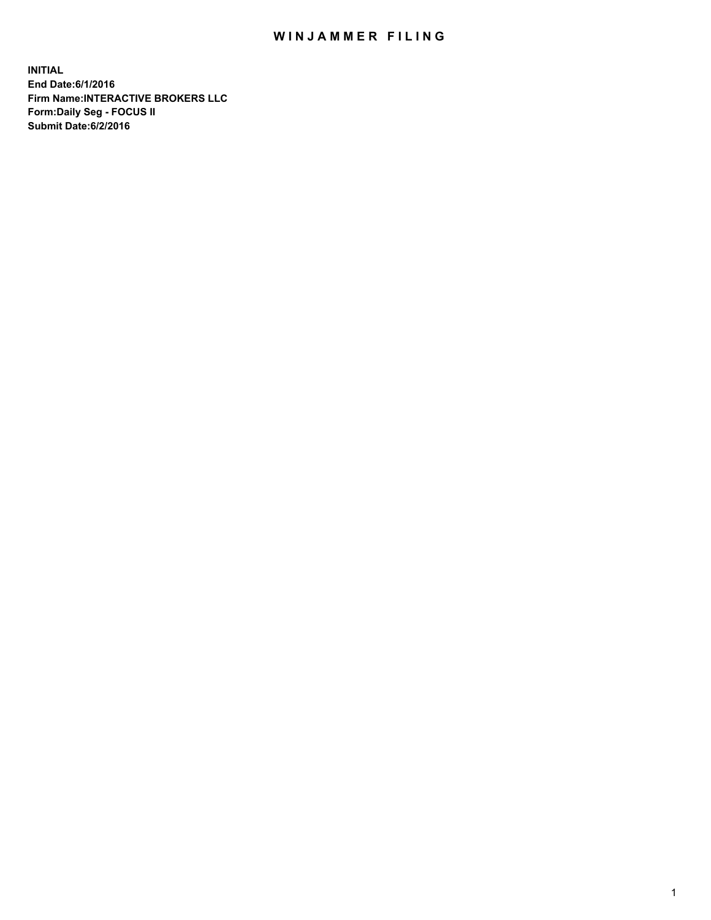## WIN JAMMER FILING

**INITIAL End Date:6/1/2016 Firm Name:INTERACTIVE BROKERS LLC Form:Daily Seg - FOCUS II Submit Date:6/2/2016**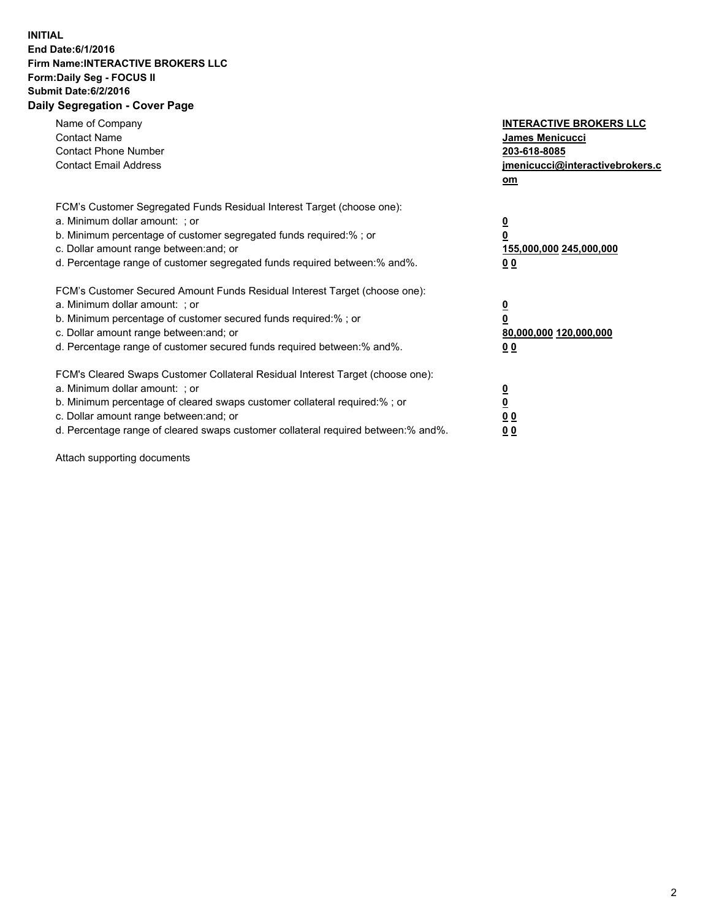## **INITIAL End Date:6/1/2016 Firm Name:INTERACTIVE BROKERS LLC Form:Daily Seg - FOCUS II Submit Date:6/2/2016 Daily Segregation - Cover Page**

| Name of Company<br><b>Contact Name</b><br><b>Contact Phone Number</b><br><b>Contact Email Address</b>                                                                                                                                                                                                                          | <b>INTERACTIVE BROKERS LLC</b><br>James Menicucci<br>203-618-8085<br>jmenicucci@interactivebrokers.c<br>om |
|--------------------------------------------------------------------------------------------------------------------------------------------------------------------------------------------------------------------------------------------------------------------------------------------------------------------------------|------------------------------------------------------------------------------------------------------------|
| FCM's Customer Segregated Funds Residual Interest Target (choose one):<br>a. Minimum dollar amount: ; or<br>b. Minimum percentage of customer segregated funds required:%; or<br>c. Dollar amount range between: and; or<br>d. Percentage range of customer segregated funds required between:% and%.                          | $\overline{\mathbf{0}}$<br>$\overline{\mathbf{0}}$<br>155,000,000 245,000,000<br>00                        |
| FCM's Customer Secured Amount Funds Residual Interest Target (choose one):<br>a. Minimum dollar amount: ; or<br>b. Minimum percentage of customer secured funds required:%; or<br>c. Dollar amount range between: and; or<br>d. Percentage range of customer secured funds required between: % and %.                          | $\overline{\mathbf{0}}$<br>$\mathbf 0$<br>80,000,000 120,000,000<br>00                                     |
| FCM's Cleared Swaps Customer Collateral Residual Interest Target (choose one):<br>a. Minimum dollar amount: ; or<br>b. Minimum percentage of cleared swaps customer collateral required:% ; or<br>c. Dollar amount range between: and; or<br>d. Percentage range of cleared swaps customer collateral required between:% and%. | $\overline{\mathbf{0}}$<br>$\underline{\mathbf{0}}$<br>0 <sub>0</sub><br>0 <sub>0</sub>                    |

Attach supporting documents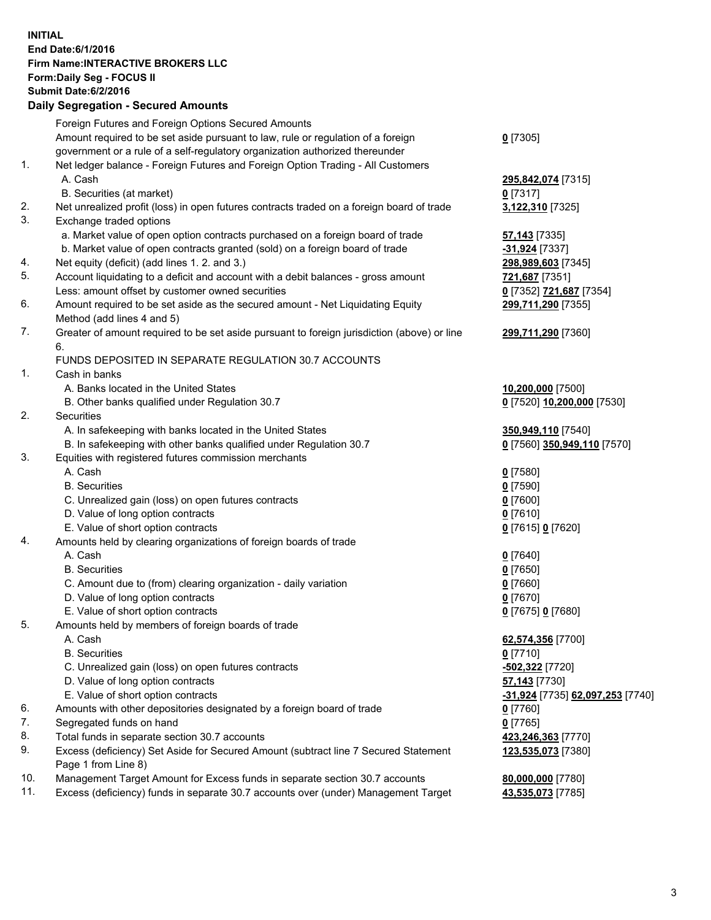## **INITIAL End Date:6/1/2016 Firm Name:INTERACTIVE BROKERS LLC Form:Daily Seg - FOCUS II Submit Date:6/2/2016 Daily Segregation - Secured Amounts**

|     | Foreign Futures and Foreign Options Secured Amounts                                         |                                  |
|-----|---------------------------------------------------------------------------------------------|----------------------------------|
|     | Amount required to be set aside pursuant to law, rule or regulation of a foreign            | $0$ [7305]                       |
|     | government or a rule of a self-regulatory organization authorized thereunder                |                                  |
| 1.  | Net ledger balance - Foreign Futures and Foreign Option Trading - All Customers             |                                  |
|     | A. Cash                                                                                     | 295,842,074 [7315]               |
|     | B. Securities (at market)                                                                   | $0$ [7317]                       |
| 2.  | Net unrealized profit (loss) in open futures contracts traded on a foreign board of trade   | 3,122,310 [7325]                 |
| 3.  | Exchange traded options                                                                     |                                  |
|     | a. Market value of open option contracts purchased on a foreign board of trade              | 57,143 [7335]                    |
|     | b. Market value of open contracts granted (sold) on a foreign board of trade                | -31,924 [7337]                   |
| 4.  | Net equity (deficit) (add lines 1.2. and 3.)                                                | 298,989,603 [7345]               |
| 5.  | Account liquidating to a deficit and account with a debit balances - gross amount           | 721,687 [7351]                   |
|     | Less: amount offset by customer owned securities                                            | 0 [7352] 721,687 [7354]          |
| 6.  | Amount required to be set aside as the secured amount - Net Liquidating Equity              | 299,711,290 [7355]               |
|     | Method (add lines 4 and 5)                                                                  |                                  |
| 7.  | Greater of amount required to be set aside pursuant to foreign jurisdiction (above) or line | 299,711,290 [7360]               |
|     | 6.                                                                                          |                                  |
|     | FUNDS DEPOSITED IN SEPARATE REGULATION 30.7 ACCOUNTS                                        |                                  |
| 1.  | Cash in banks                                                                               |                                  |
|     | A. Banks located in the United States                                                       | 10,200,000 [7500]                |
|     | B. Other banks qualified under Regulation 30.7                                              | 0 [7520] 10,200,000 [7530]       |
| 2.  | Securities                                                                                  |                                  |
|     | A. In safekeeping with banks located in the United States                                   | 350,949,110 [7540]               |
|     | B. In safekeeping with other banks qualified under Regulation 30.7                          | 0 [7560] 350,949,110 [7570]      |
| 3.  | Equities with registered futures commission merchants                                       |                                  |
|     | A. Cash                                                                                     | $0$ [7580]                       |
|     | <b>B.</b> Securities                                                                        | $0$ [7590]                       |
|     | C. Unrealized gain (loss) on open futures contracts                                         | $0$ [7600]                       |
|     | D. Value of long option contracts                                                           | $0$ [7610]                       |
|     | E. Value of short option contracts                                                          | 0 [7615] 0 [7620]                |
| 4.  | Amounts held by clearing organizations of foreign boards of trade                           |                                  |
|     | A. Cash                                                                                     | $0$ [7640]                       |
|     | <b>B.</b> Securities                                                                        | $0$ [7650]                       |
|     | C. Amount due to (from) clearing organization - daily variation                             | $0$ [7660]                       |
|     | D. Value of long option contracts                                                           | $0$ [7670]                       |
|     | E. Value of short option contracts                                                          | 0 [7675] 0 [7680]                |
| 5.  | Amounts held by members of foreign boards of trade                                          |                                  |
|     | A. Cash                                                                                     | 62,574,356 [7700]                |
|     | <b>B.</b> Securities                                                                        | $0$ [7710]                       |
|     | C. Unrealized gain (loss) on open futures contracts                                         | $-502,322$ [7720]                |
|     | D. Value of long option contracts                                                           | 57,143 [7730]                    |
|     | E. Value of short option contracts                                                          | -31,924 [7735] 62,097,253 [7740] |
| 6.  | Amounts with other depositories designated by a foreign board of trade                      | $0$ [7760]                       |
| 7.  | Segregated funds on hand                                                                    | $0$ [7765]                       |
| 8.  | Total funds in separate section 30.7 accounts                                               | 423,246,363 [7770]               |
| 9.  | Excess (deficiency) Set Aside for Secured Amount (subtract line 7 Secured Statement         | 123,535,073 [7380]               |
|     | Page 1 from Line 8)                                                                         |                                  |
| 10. | Management Target Amount for Excess funds in separate section 30.7 accounts                 | 80,000,000 [7780]                |
| 11. | Excess (deficiency) funds in separate 30.7 accounts over (under) Management Target          | 43,535,073 [7785]                |
|     |                                                                                             |                                  |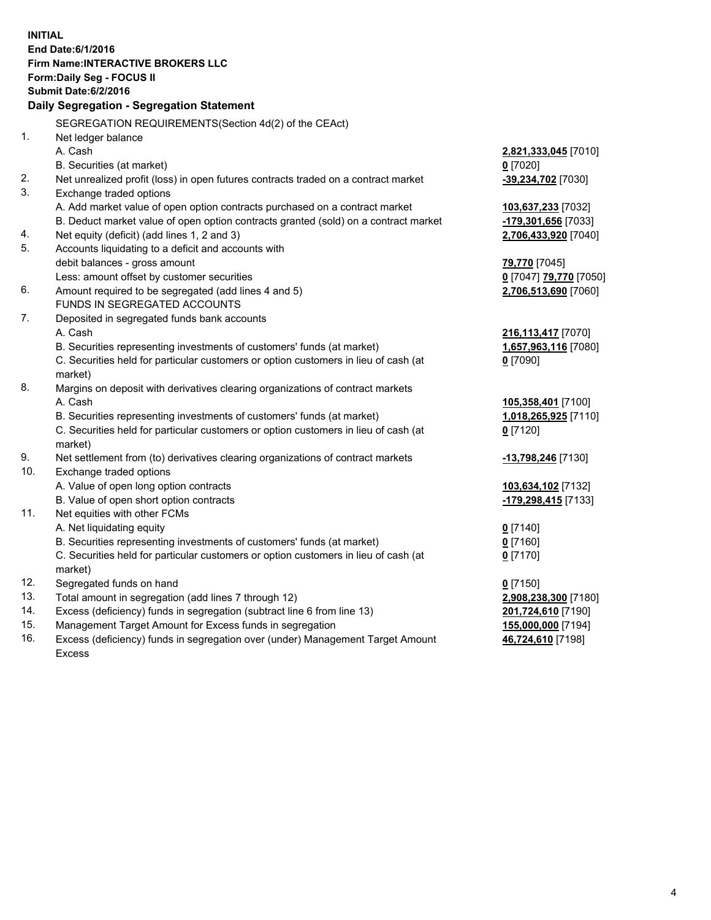**INITIAL End Date:6/1/2016 Firm Name:INTERACTIVE BROKERS LLC Form:Daily Seg - FOCUS II Submit Date:6/2/2016 Daily Segregation - Segregation Statement** SEGREGATION REQUIREMENTS(Section 4d(2) of the CEAct) 1. Net ledger balance A. Cash **2,821,333,045** [7010] B. Securities (at market) **0** [7020] 2. Net unrealized profit (loss) in open futures contracts traded on a contract market **-39,234,702** [7030] 3. Exchange traded options A. Add market value of open option contracts purchased on a contract market **103,637,233** [7032] B. Deduct market value of open option contracts granted (sold) on a contract market **-179,301,656** [7033] 4. Net equity (deficit) (add lines 1, 2 and 3) **2,706,433,920** [7040] 5. Accounts liquidating to a deficit and accounts with debit balances - gross amount **79,770** [7045] Less: amount offset by customer securities **0** [7047] **79,770** [7050] 6. Amount required to be segregated (add lines 4 and 5) **2,706,513,690** [7060] FUNDS IN SEGREGATED ACCOUNTS 7. Deposited in segregated funds bank accounts A. Cash **216,113,417** [7070] B. Securities representing investments of customers' funds (at market) **1,657,963,116** [7080] C. Securities held for particular customers or option customers in lieu of cash (at market) **0** [7090] 8. Margins on deposit with derivatives clearing organizations of contract markets A. Cash **105,358,401** [7100] B. Securities representing investments of customers' funds (at market) **1,018,265,925** [7110] C. Securities held for particular customers or option customers in lieu of cash (at market) **0** [7120] 9. Net settlement from (to) derivatives clearing organizations of contract markets **-13,798,246** [7130] 10. Exchange traded options A. Value of open long option contracts **103,634,102** [7132] B. Value of open short option contracts **-179,298,415** [7133] 11. Net equities with other FCMs A. Net liquidating equity **0** [7140] B. Securities representing investments of customers' funds (at market) **0** [7160] C. Securities held for particular customers or option customers in lieu of cash (at market) **0** [7170] 12. Segregated funds on hand **0** [7150] 13. Total amount in segregation (add lines 7 through 12) **2,908,238,300** [7180] 14. Excess (deficiency) funds in segregation (subtract line 6 from line 13) **201,724,610** [7190] 15. Management Target Amount for Excess funds in segregation **155,000,000** [7194] **46,724,610** [7198]

16. Excess (deficiency) funds in segregation over (under) Management Target Amount Excess